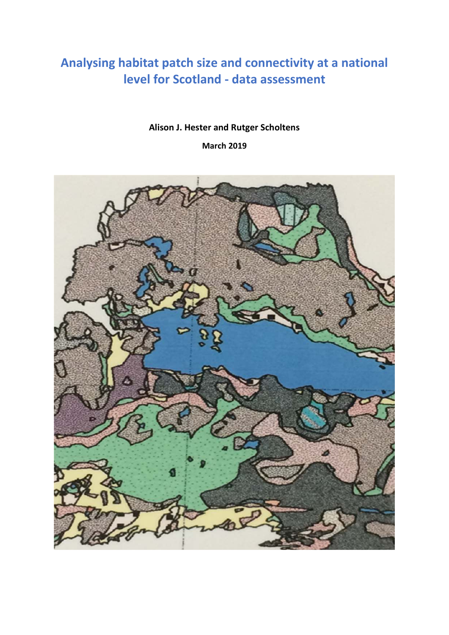# **Analysing habitat patch size and connectivity at a national level for Scotland - data assessment**

## **Alison J. Hester and Rutger Scholtens**

**March 2019**

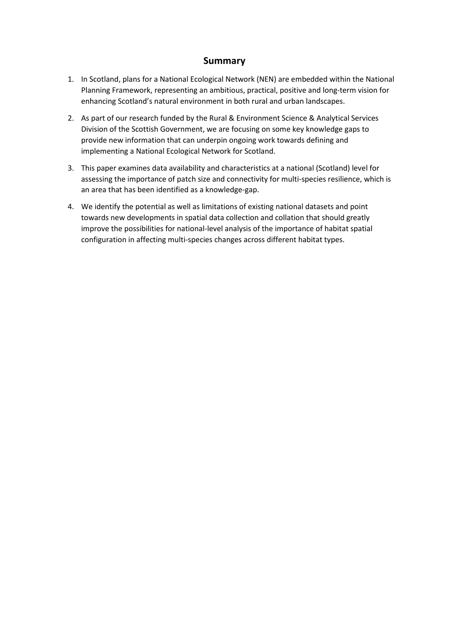## **Summary**

- 1. In Scotland, plans for a National Ecological Network (NEN) are embedded within the National Planning Framework, representing an ambitious, practical, positive and long-term vision for enhancing Scotland's natural environment in both rural and urban landscapes.
- 2. As part of our research funded by the Rural & Environment Science & Analytical Services Division of the Scottish Government, we are focusing on some key knowledge gaps to provide new information that can underpin ongoing work towards defining and implementing a National Ecological Network for Scotland.
- 3. This paper examines data availability and characteristics at a national (Scotland) level for assessing the importance of patch size and connectivity for multi-species resilience, which is an area that has been identified as a knowledge-gap.
- 4. We identify the potential as well as limitations of existing national datasets and point towards new developments in spatial data collection and collation that should greatly improve the possibilities for national-level analysis of the importance of habitat spatial configuration in affecting multi-species changes across different habitat types.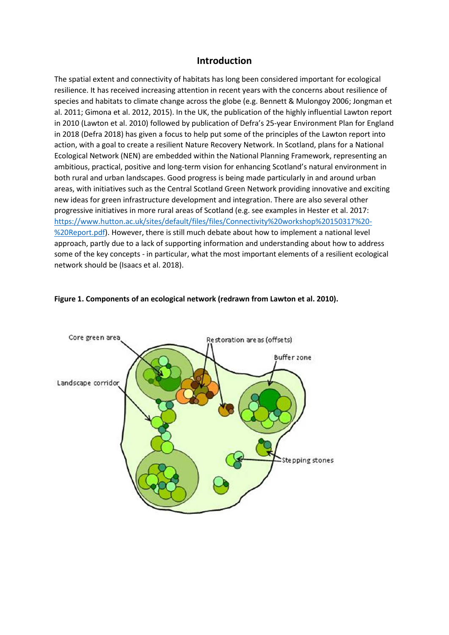## **Introduction**

The spatial extent and connectivity of habitats has long been considered important for ecological resilience. It has received increasing attention in recent years with the concerns about resilience of species and habitats to climate change across the globe (e.g. Bennett & Mulongoy 2006; Jongman et al. 2011; Gimona et al. 2012, 2015). In the UK, the publication of the highly influential Lawton report in 2010 (Lawton et al. 2010) followed by publication of Defra's 25-year Environment Plan for England in 2018 (Defra 2018) has given a focus to help put some of the principles of the Lawton report into action, with a goal to create a resilient Nature Recovery Network. In Scotland, plans for a National Ecological Network (NEN) are embedded within the National Planning Framework, representing an ambitious, practical, positive and long-term vision for enhancing Scotland's natural environment in both rural and urban landscapes. Good progress is being made particularly in and around urban areas, with initiatives such as the Central Scotland Green Network providing innovative and exciting new ideas for green infrastructure development and integration. There are also several other progressive initiatives in more rural areas of Scotland (e.g. see examples in Hester et al. 2017: https://www.hutton.ac.uk/sites/default/files/files/Connectivity%20workshop%20150317%20- %20Report.pdf). However, there is still much debate about how to implement a national level approach, partly due to a lack of supporting information and understanding about how to address some of the key concepts - in particular, what the most important elements of a resilient ecological network should be (Isaacs et al. 2018).



#### **Figure 1. Components of an ecological network (redrawn from Lawton et al. 2010).**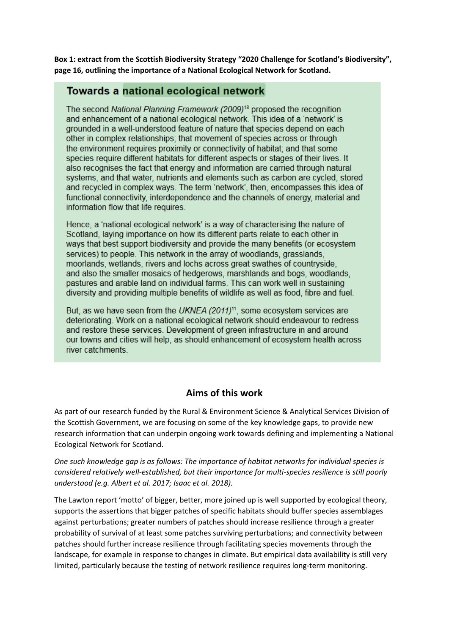**Box 1: extract from the Scottish Biodiversity Strategy "2020 Challenge for Scotland's Biodiversity", page 16, outlining the importance of a National Ecological Network for Scotland.** 

## Towards a national ecological network

The second National Planning Framework (2009)<sup>18</sup> proposed the recognition and enhancement of a national ecological network. This idea of a 'network' is grounded in a well-understood feature of nature that species depend on each other in complex relationships; that movement of species across or through the environment requires proximity or connectivity of habitat; and that some species require different habitats for different aspects or stages of their lives. It also recognises the fact that energy and information are carried through natural systems, and that water, nutrients and elements such as carbon are cycled, stored and recycled in complex ways. The term 'network', then, encompasses this idea of functional connectivity, interdependence and the channels of energy, material and information flow that life requires.

Hence, a 'national ecological network' is a way of characterising the nature of Scotland, laying importance on how its different parts relate to each other in ways that best support biodiversity and provide the many benefits (or ecosystem services) to people. This network in the array of woodlands, grasslands, moorlands, wetlands, rivers and lochs across great swathes of countryside, and also the smaller mosaics of hedgerows, marshlands and bogs, woodlands, pastures and arable land on individual farms. This can work well in sustaining diversity and providing multiple benefits of wildlife as well as food, fibre and fuel.

But, as we have seen from the UKNEA (2011)<sup>11</sup>, some ecosystem services are deteriorating. Work on a national ecological network should endeavour to redress and restore these services. Development of green infrastructure in and around our towns and cities will help, as should enhancement of ecosystem health across river catchments

## **Aims of this work**

As part of our research funded by the Rural & Environment Science & Analytical Services Division of the Scottish Government, we are focusing on some of the key knowledge gaps, to provide new research information that can underpin ongoing work towards defining and implementing a National Ecological Network for Scotland.

*One such knowledge gap is as follows: The importance of habitat networks for individual species is considered relatively well-established, but their importance for multi-species resilience is still poorly understood (e.g. Albert et al. 2017; Isaac et al. 2018).* 

The Lawton report 'motto' of bigger, better, more joined up is well supported by ecological theory, supports the assertions that bigger patches of specific habitats should buffer species assemblages against perturbations; greater numbers of patches should increase resilience through a greater probability of survival of at least some patches surviving perturbations; and connectivity between patches should further increase resilience through facilitating species movements through the landscape, for example in response to changes in climate. But empirical data availability is still very limited, particularly because the testing of network resilience requires long-term monitoring.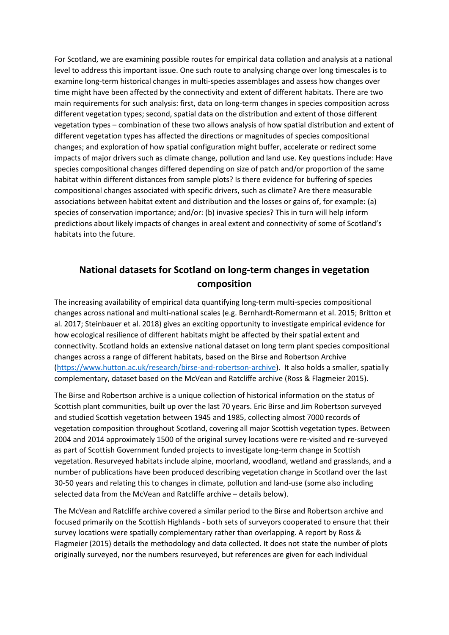For Scotland, we are examining possible routes for empirical data collation and analysis at a national level to address this important issue. One such route to analysing change over long timescales is to examine long-term historical changes in multi-species assemblages and assess how changes over time might have been affected by the connectivity and extent of different habitats. There are two main requirements for such analysis: first, data on long-term changes in species composition across different vegetation types; second, spatial data on the distribution and extent of those different vegetation types – combination of these two allows analysis of how spatial distribution and extent of different vegetation types has affected the directions or magnitudes of species compositional changes; and exploration of how spatial configuration might buffer, accelerate or redirect some impacts of major drivers such as climate change, pollution and land use. Key questions include: Have species compositional changes differed depending on size of patch and/or proportion of the same habitat within different distances from sample plots? Is there evidence for buffering of species compositional changes associated with specific drivers, such as climate? Are there measurable associations between habitat extent and distribution and the losses or gains of, for example: (a) species of conservation importance; and/or: (b) invasive species? This in turn will help inform predictions about likely impacts of changes in areal extent and connectivity of some of Scotland's habitats into the future.

## **National datasets for Scotland on long-term changes in vegetation composition**

The increasing availability of empirical data quantifying long-term multi-species compositional changes across national and multi-national scales (e.g. Bernhardt-Romermann et al. 2015; Britton et al. 2017; Steinbauer et al. 2018) gives an exciting opportunity to investigate empirical evidence for how ecological resilience of different habitats might be affected by their spatial extent and connectivity. Scotland holds an extensive national dataset on long term plant species compositional changes across a range of different habitats, based on the Birse and Robertson Archive (https://www.hutton.ac.uk/research/birse-and-robertson-archive). It also holds a smaller, spatially complementary, dataset based on the McVean and Ratcliffe archive (Ross & Flagmeier 2015).

The Birse and Robertson archive is a unique collection of historical information on the status of Scottish plant communities, built up over the last 70 years. Eric Birse and Jim Robertson surveyed and studied Scottish vegetation between 1945 and 1985, collecting almost 7000 records of vegetation composition throughout Scotland, covering all major Scottish vegetation types. Between 2004 and 2014 approximately 1500 of the original survey locations were re-visited and re-surveyed as part of Scottish Government funded projects to investigate long-term change in Scottish vegetation. Resurveyed habitats include alpine, moorland, woodland, wetland and grasslands, and a number of publications have been produced describing vegetation change in Scotland over the last 30-50 years and relating this to changes in climate, pollution and land-use (some also including selected data from the McVean and Ratcliffe archive – details below).

The McVean and Ratcliffe archive covered a similar period to the Birse and Robertson archive and focused primarily on the Scottish Highlands - both sets of surveyors cooperated to ensure that their survey locations were spatially complementary rather than overlapping. A report by Ross & Flagmeier (2015) details the methodology and data collected. It does not state the number of plots originally surveyed, nor the numbers resurveyed, but references are given for each individual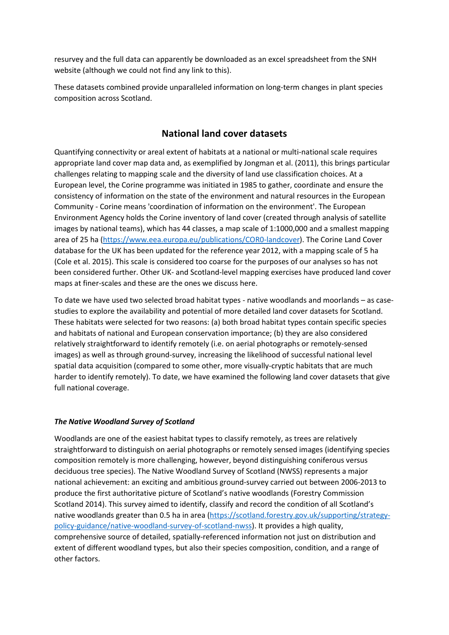resurvey and the full data can apparently be downloaded as an excel spreadsheet from the SNH website (although we could not find any link to this).

These datasets combined provide unparalleled information on long-term changes in plant species composition across Scotland.

## **National land cover datasets**

Quantifying connectivity or areal extent of habitats at a national or multi-national scale requires appropriate land cover map data and, as exemplified by Jongman et al. (2011), this brings particular challenges relating to mapping scale and the diversity of land use classification choices. At a European level, the Corine programme was initiated in 1985 to gather, coordinate and ensure the consistency of information on the state of the environment and natural resources in the European Community - Corine means 'coordination of information on the environment'. The European Environment Agency holds the Corine inventory of land cover (created through analysis of satellite images by national teams), which has 44 classes, a map scale of 1:1000,000 and a smallest mapping area of 25 ha (https://www.eea.europa.eu/publications/COR0-landcover). The Corine Land Cover database for the UK has been updated for the reference year 2012, with a mapping scale of 5 ha (Cole et al. 2015). This scale is considered too coarse for the purposes of our analyses so has not been considered further. Other UK- and Scotland-level mapping exercises have produced land cover maps at finer-scales and these are the ones we discuss here.

To date we have used two selected broad habitat types - native woodlands and moorlands – as casestudies to explore the availability and potential of more detailed land cover datasets for Scotland. These habitats were selected for two reasons: (a) both broad habitat types contain specific species and habitats of national and European conservation importance; (b) they are also considered relatively straightforward to identify remotely (i.e. on aerial photographs or remotely-sensed images) as well as through ground-survey, increasing the likelihood of successful national level spatial data acquisition (compared to some other, more visually-cryptic habitats that are much harder to identify remotely). To date, we have examined the following land cover datasets that give full national coverage.

#### *The Native Woodland Survey of Scotland*

Woodlands are one of the easiest habitat types to classify remotely, as trees are relatively straightforward to distinguish on aerial photographs or remotely sensed images (identifying species composition remotely is more challenging, however, beyond distinguishing coniferous versus deciduous tree species). The Native Woodland Survey of Scotland (NWSS) represents a major national achievement: an exciting and ambitious ground-survey carried out between 2006-2013 to produce the first authoritative picture of Scotland's native woodlands (Forestry Commission Scotland 2014). This survey aimed to identify, classify and record the condition of all Scotland's native woodlands greater than 0.5 ha in area (https://scotland.forestry.gov.uk/supporting/strategypolicy-guidance/native-woodland-survey-of-scotland-nwss). It provides a high quality, comprehensive source of detailed, spatially-referenced information not just on distribution and extent of different woodland types, but also their species composition, condition, and a range of other factors.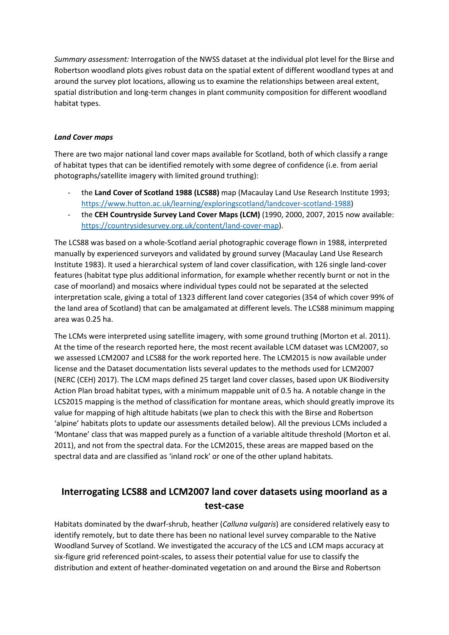*Summary assessment:* Interrogation of the NWSS dataset at the individual plot level for the Birse and Robertson woodland plots gives robust data on the spatial extent of different woodland types at and around the survey plot locations, allowing us to examine the relationships between areal extent, spatial distribution and long-term changes in plant community composition for different woodland habitat types.

#### *Land Cover maps*

There are two major national land cover maps available for Scotland, both of which classify a range of habitat types that can be identified remotely with some degree of confidence (i.e. from aerial photographs/satellite imagery with limited ground truthing):

- the **Land Cover of Scotland 1988 (LCS88)** map (Macaulay Land Use Research Institute 1993; https://www.hutton.ac.uk/learning/exploringscotland/landcover-scotland-1988)
- the **CEH Countryside Survey Land Cover Maps (LCM)** (1990, 2000, 2007, 2015 now available: https://countrysidesurvey.org.uk/content/land-cover-map).

The LCS88 was based on a whole-Scotland aerial photographic coverage flown in 1988, interpreted manually by experienced surveyors and validated by ground survey (Macaulay Land Use Research Institute 1983). It used a hierarchical system of land cover classification, with 126 single land-cover features (habitat type plus additional information, for example whether recently burnt or not in the case of moorland) and mosaics where individual types could not be separated at the selected interpretation scale, giving a total of 1323 different land cover categories (354 of which cover 99% of the land area of Scotland) that can be amalgamated at different levels. The LCS88 minimum mapping area was 0.25 ha.

The LCMs were interpreted using satellite imagery, with some ground truthing (Morton et al. 2011). At the time of the research reported here, the most recent available LCM dataset was LCM2007, so we assessed LCM2007 and LCS88 for the work reported here. The LCM2015 is now available under license and the Dataset documentation lists several updates to the methods used for LCM2007 (NERC (CEH) 2017). The LCM maps defined 25 target land cover classes, based upon UK Biodiversity Action Plan broad habitat types, with a minimum mappable unit of 0.5 ha. A notable change in the LCS2015 mapping is the method of classification for montane areas, which should greatly improve its value for mapping of high altitude habitats (we plan to check this with the Birse and Robertson 'alpine' habitats plots to update our assessments detailed below). All the previous LCMs included a 'Montane' class that was mapped purely as a function of a variable altitude threshold (Morton et al. 2011), and not from the spectral data. For the LCM2015, these areas are mapped based on the spectral data and are classified as 'inland rock' or one of the other upland habitats.

## **Interrogating LCS88 and LCM2007 land cover datasets using moorland as a test-case**

Habitats dominated by the dwarf-shrub, heather (*Calluna vulgaris*) are considered relatively easy to identify remotely, but to date there has been no national level survey comparable to the Native Woodland Survey of Scotland. We investigated the accuracy of the LCS and LCM maps accuracy at six-figure grid referenced point-scales, to assess their potential value for use to classify the distribution and extent of heather-dominated vegetation on and around the Birse and Robertson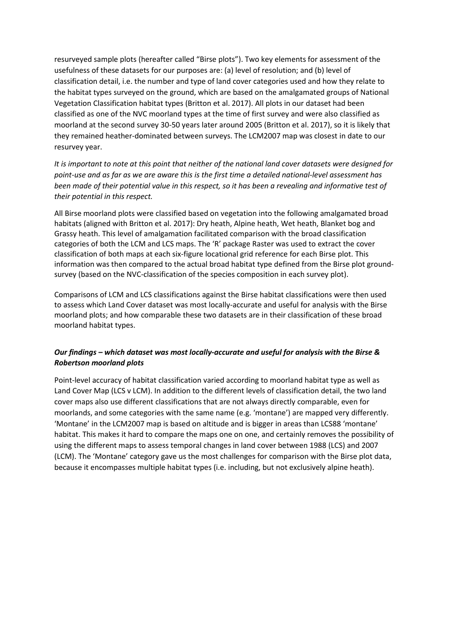resurveyed sample plots (hereafter called "Birse plots"). Two key elements for assessment of the usefulness of these datasets for our purposes are: (a) level of resolution; and (b) level of classification detail, i.e. the number and type of land cover categories used and how they relate to the habitat types surveyed on the ground, which are based on the amalgamated groups of National Vegetation Classification habitat types (Britton et al. 2017). All plots in our dataset had been classified as one of the NVC moorland types at the time of first survey and were also classified as moorland at the second survey 30-50 years later around 2005 (Britton et al. 2017), so it is likely that they remained heather-dominated between surveys. The LCM2007 map was closest in date to our resurvey year.

*It is important to note at this point that neither of the national land cover datasets were designed for point-use and as far as we are aware this is the first time a detailed national-level assessment has been made of their potential value in this respect, so it has been a revealing and informative test of their potential in this respect.* 

All Birse moorland plots were classified based on vegetation into the following amalgamated broad habitats (aligned with Britton et al. 2017): Dry heath, Alpine heath, Wet heath, Blanket bog and Grassy heath. This level of amalgamation facilitated comparison with the broad classification categories of both the LCM and LCS maps. The 'R' package Raster was used to extract the cover classification of both maps at each six-figure locational grid reference for each Birse plot. This information was then compared to the actual broad habitat type defined from the Birse plot groundsurvey (based on the NVC-classification of the species composition in each survey plot).

Comparisons of LCM and LCS classifications against the Birse habitat classifications were then used to assess which Land Cover dataset was most locally-accurate and useful for analysis with the Birse moorland plots; and how comparable these two datasets are in their classification of these broad moorland habitat types.

## *Our findings – which dataset was most locally-accurate and useful for analysis with the Birse & Robertson moorland plots*

Point-level accuracy of habitat classification varied according to moorland habitat type as well as Land Cover Map (LCS v LCM). In addition to the different levels of classification detail, the two land cover maps also use different classifications that are not always directly comparable, even for moorlands, and some categories with the same name (e.g. 'montane') are mapped very differently. 'Montane' in the LCM2007 map is based on altitude and is bigger in areas than LCS88 'montane' habitat. This makes it hard to compare the maps one on one, and certainly removes the possibility of using the different maps to assess temporal changes in land cover between 1988 (LCS) and 2007 (LCM). The 'Montane' category gave us the most challenges for comparison with the Birse plot data, because it encompasses multiple habitat types (i.e. including, but not exclusively alpine heath).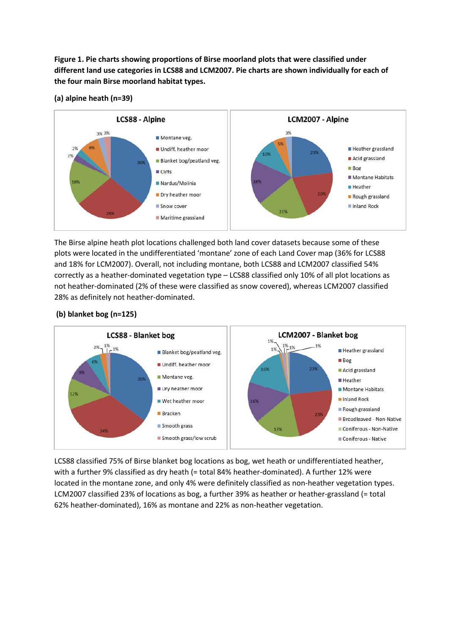**Figure 1. Pie charts showing proportions of Birse moorland plots that were classified under different land use categories in LCS88 and LCM2007. Pie charts are shown individually for each of the four main Birse moorland habitat types.** 



**(a) alpine heath (n=39)**

The Birse alpine heath plot locations challenged both land cover datasets because some of these plots were located in the undifferentiated 'montane' zone of each Land Cover map (36% for LCS88 and 18% for LCM2007). Overall, not including montane, both LCS88 and LCM2007 classified 54% correctly as a heather-dominated vegetation type – LCS88 classified only 10% of all plot locations as not heather-dominated (2% of these were classified as snow covered), whereas LCM2007 classified 28% as definitely not heather-dominated.

#### **(b) blanket bog (n=125)**



LCS88 classified 75% of Birse blanket bog locations as bog, wet heath or undifferentiated heather, with a further 9% classified as dry heath (= total 84% heather-dominated). A further 12% were located in the montane zone, and only 4% were definitely classified as non-heather vegetation types. LCM2007 classified 23% of locations as bog, a further 39% as heather or heather-grassland (= total 62% heather-dominated), 16% as montane and 22% as non-heather vegetation.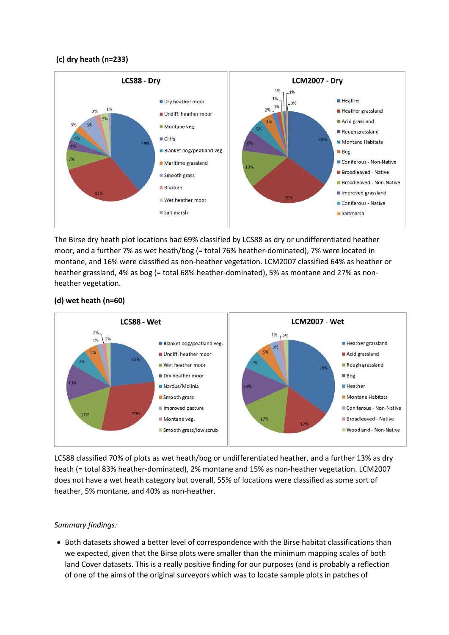#### **(c) dry heath (n=233)**



The Birse dry heath plot locations had 69% classified by LCS88 as dry or undifferentiated heather moor, and a further 7% as wet heath/bog (= total 76% heather-dominated), 7% were located in montane, and 16% were classified as non-heather vegetation. LCM2007 classified 64% as heather or heather grassland, 4% as bog (= total 68% heather-dominated), 5% as montane and 27% as nonheather vegetation.



### **(d) wet heath (n=60)**

LCS88 classified 70% of plots as wet heath/bog or undifferentiated heather, and a further 13% as dry heath (= total 83% heather-dominated), 2% montane and 15% as non-heather vegetation. LCM2007 does not have a wet heath category but overall, 55% of locations were classified as some sort of heather, 5% montane, and 40% as non-heather.

#### *Summary findings:*

• Both datasets showed a better level of correspondence with the Birse habitat classifications than we expected, given that the Birse plots were smaller than the minimum mapping scales of both land Cover datasets. This is a really positive finding for our purposes (and is probably a reflection of one of the aims of the original surveyors which was to locate sample plots in patches of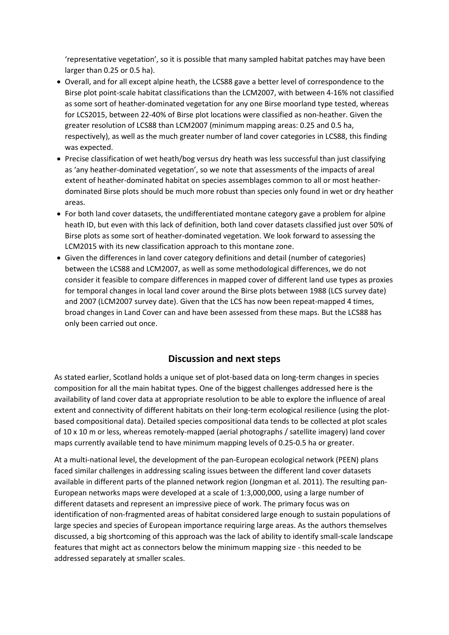'representative vegetation', so it is possible that many sampled habitat patches may have been larger than 0.25 or 0.5 ha).

- Overall, and for all except alpine heath, the LCS88 gave a better level of correspondence to the Birse plot point-scale habitat classifications than the LCM2007, with between 4-16% not classified as some sort of heather-dominated vegetation for any one Birse moorland type tested, whereas for LCS2015, between 22-40% of Birse plot locations were classified as non-heather. Given the greater resolution of LCS88 than LCM2007 (minimum mapping areas: 0.25 and 0.5 ha, respectively), as well as the much greater number of land cover categories in LCS88, this finding was expected.
- Precise classification of wet heath/bog versus dry heath was less successful than just classifying as 'any heather-dominated vegetation', so we note that assessments of the impacts of areal extent of heather-dominated habitat on species assemblages common to all or most heatherdominated Birse plots should be much more robust than species only found in wet or dry heather areas.
- For both land cover datasets, the undifferentiated montane category gave a problem for alpine heath ID, but even with this lack of definition, both land cover datasets classified just over 50% of Birse plots as some sort of heather-dominated vegetation. We look forward to assessing the LCM2015 with its new classification approach to this montane zone.
- Given the differences in land cover category definitions and detail (number of categories) between the LCS88 and LCM2007, as well as some methodological differences, we do not consider it feasible to compare differences in mapped cover of different land use types as proxies for temporal changes in local land cover around the Birse plots between 1988 (LCS survey date) and 2007 (LCM2007 survey date). Given that the LCS has now been repeat-mapped 4 times, broad changes in Land Cover can and have been assessed from these maps. But the LCS88 has only been carried out once.

## **Discussion and next steps**

As stated earlier, Scotland holds a unique set of plot-based data on long-term changes in species composition for all the main habitat types. One of the biggest challenges addressed here is the availability of land cover data at appropriate resolution to be able to explore the influence of areal extent and connectivity of different habitats on their long-term ecological resilience (using the plotbased compositional data). Detailed species compositional data tends to be collected at plot scales of 10 x 10 m or less, whereas remotely-mapped (aerial photographs / satellite imagery) land cover maps currently available tend to have minimum mapping levels of 0.25-0.5 ha or greater.

At a multi-national level, the development of the pan-European ecological network (PEEN) plans faced similar challenges in addressing scaling issues between the different land cover datasets available in different parts of the planned network region (Jongman et al. 2011). The resulting pan-European networks maps were developed at a scale of 1:3,000,000, using a large number of different datasets and represent an impressive piece of work. The primary focus was on identification of non-fragmented areas of habitat considered large enough to sustain populations of large species and species of European importance requiring large areas. As the authors themselves discussed, a big shortcoming of this approach was the lack of ability to identify small-scale landscape features that might act as connectors below the minimum mapping size - this needed to be addressed separately at smaller scales.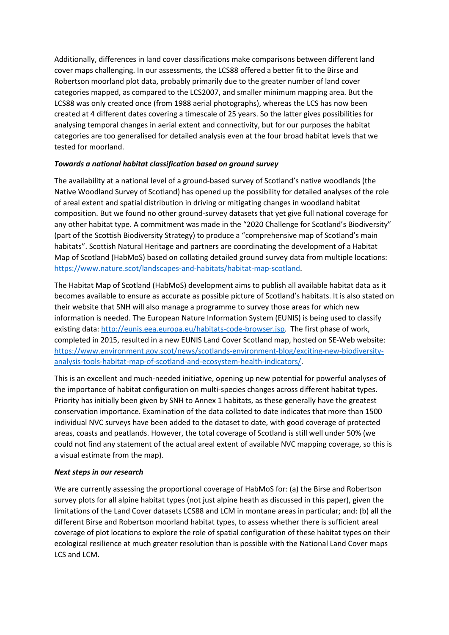Additionally, differences in land cover classifications make comparisons between different land cover maps challenging. In our assessments, the LCS88 offered a better fit to the Birse and Robertson moorland plot data, probably primarily due to the greater number of land cover categories mapped, as compared to the LCS2007, and smaller minimum mapping area. But the LCS88 was only created once (from 1988 aerial photographs), whereas the LCS has now been created at 4 different dates covering a timescale of 25 years. So the latter gives possibilities for analysing temporal changes in aerial extent and connectivity, but for our purposes the habitat categories are too generalised for detailed analysis even at the four broad habitat levels that we tested for moorland.

### *Towards a national habitat classification based on ground survey*

The availability at a national level of a ground-based survey of Scotland's native woodlands (the Native Woodland Survey of Scotland) has opened up the possibility for detailed analyses of the role of areal extent and spatial distribution in driving or mitigating changes in woodland habitat composition. But we found no other ground-survey datasets that yet give full national coverage for any other habitat type. A commitment was made in the "2020 Challenge for Scotland's Biodiversity" (part of the Scottish Biodiversity Strategy) to produce a "comprehensive map of Scotland's main habitats". Scottish Natural Heritage and partners are coordinating the development of a Habitat Map of Scotland (HabMoS) based on collating detailed ground survey data from multiple locations: https://www.nature.scot/landscapes-and-habitats/habitat-map-scotland.

The Habitat Map of Scotland (HabMoS) development aims to publish all available habitat data as it becomes available to ensure as accurate as possible picture of Scotland's habitats. It is also stated on their website that SNH will also manage a programme to survey those areas for which new information is needed. The European Nature Information System (EUNIS) is being used to classify existing data: http://eunis.eea.europa.eu/habitats-code-browser.jsp. The first phase of work, completed in 2015, resulted in a new EUNIS Land Cover Scotland map, hosted on SE-Web website: https://www.environment.gov.scot/news/scotlands-environment-blog/exciting-new-biodiversityanalysis-tools-habitat-map-of-scotland-and-ecosystem-health-indicators/.

This is an excellent and much-needed initiative, opening up new potential for powerful analyses of the importance of habitat configuration on multi-species changes across different habitat types. Priority has initially been given by SNH to Annex 1 habitats, as these generally have the greatest conservation importance. Examination of the data collated to date indicates that more than 1500 individual NVC surveys have been added to the dataset to date, with good coverage of protected areas, coasts and peatlands. However, the total coverage of Scotland is still well under 50% (we could not find any statement of the actual areal extent of available NVC mapping coverage, so this is a visual estimate from the map).

#### *Next steps in our research*

We are currently assessing the proportional coverage of HabMoS for: (a) the Birse and Robertson survey plots for all alpine habitat types (not just alpine heath as discussed in this paper), given the limitations of the Land Cover datasets LCS88 and LCM in montane areas in particular; and: (b) all the different Birse and Robertson moorland habitat types, to assess whether there is sufficient areal coverage of plot locations to explore the role of spatial configuration of these habitat types on their ecological resilience at much greater resolution than is possible with the National Land Cover maps LCS and LCM.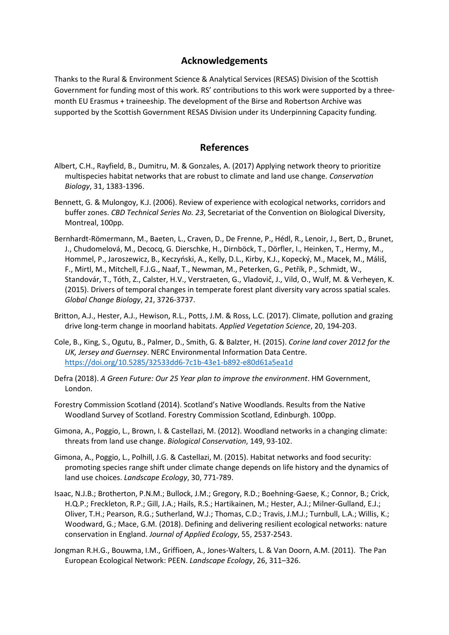## **Acknowledgements**

Thanks to the Rural & Environment Science & Analytical Services (RESAS) Division of the Scottish Government for funding most of this work. RS' contributions to this work were supported by a threemonth EU Erasmus + traineeship. The development of the Birse and Robertson Archive was supported by the Scottish Government RESAS Division under its Underpinning Capacity funding.

## **References**

- Albert, C.H., Rayfield, B., Dumitru, M. & Gonzales, A. (2017) Applying network theory to prioritize multispecies habitat networks that are robust to climate and land use change. *Conservation Biology*, 31, 1383-1396.
- Bennett, G. & Mulongoy, K.J. (2006). Review of experience with ecological networks, corridors and buffer zones. *CBD Technical Series No. 23*, Secretariat of the Convention on Biological Diversity, Montreal, 100pp.
- Bernhardt-Römermann, M., Baeten, L., Craven, D., De Frenne, P., Hédl, R., Lenoir, J., Bert, D., Brunet, J., Chudomelová, M., Decocq, G. Dierschke, H., Dirnböck, T., Dörfler, I., Heinken, T., Hermy, M., Hommel, P., Jaroszewicz, B., Keczyński, A., Kelly, D.L., Kirby, K.J., Kopecký, M., Macek, M., Máliš, F., Mirtl, M., Mitchell, F.J.G., Naaf, T., Newman, M., Peterken, G., Petřík, P., Schmidt, W., Standovár, T., Tóth, Z., Calster, H.V., Verstraeten, G., Vladovič, J., Vild, O., Wulf, M. & Verheyen, K. (2015). Drivers of temporal changes in temperate forest plant diversity vary across spatial scales. *Global Change Biology*, *21*, 3726-3737.
- Britton, A.J., Hester, A.J., Hewison, R.L., Potts, J.M. & Ross, L.C. (2017). Climate, pollution and grazing drive long-term change in moorland habitats. *Applied Vegetation Science*, 20, 194-203.
- Cole, B., King, S., Ogutu, B., Palmer, D., Smith, G. & Balzter, H. (2015). *Corine land cover 2012 for the UK, Jersey and Guernsey*. NERC Environmental Information Data Centre. https://doi.org/10.5285/32533dd6-7c1b-43e1-b892-e80d61a5ea1d
- Defra (2018). *A Green Future: Our 25 Year plan to improve the environment*. HM Government, London.
- Forestry Commission Scotland (2014). Scotland's Native Woodlands. Results from the Native Woodland Survey of Scotland. Forestry Commission Scotland, Edinburgh. 100pp.
- Gimona, A., Poggio, L., Brown, I. & Castellazi, M. (2012). Woodland networks in a changing climate: threats from land use change. *Biological Conservation*, 149, 93-102.
- Gimona, A., Poggio, L., Polhill, J.G. & Castellazi, M. (2015). Habitat networks and food security: promoting species range shift under climate change depends on life history and the dynamics of land use choices. *Landscape Ecology*, 30, 771-789.
- Isaac, N.J.B.; Brotherton, P.N.M.; Bullock, J.M.; Gregory, R.D.; Boehning-Gaese, K.; Connor, B.; Crick, H.Q.P.; Freckleton, R.P.; Gill, J.A.; Hails, R.S.; Hartikainen, M.; Hester, A.J.; Milner-Gulland, E.J.; Oliver, T.H.; Pearson, R.G.; Sutherland, W.J.; Thomas, C.D.; Travis, J.M.J.; Turnbull, L.A.; Willis, K.; Woodward, G.; Mace, G.M. (2018). Defining and delivering resilient ecological networks: nature conservation in England. *Journal of Applied Ecology*, 55, 2537-2543.
- Jongman R.H.G., Bouwma, I.M., Griffioen, A., Jones-Walters, L. & Van Doorn, A.M. (2011). The Pan European Ecological Network: PEEN. *Landscape Ecology*, 26, 311–326.